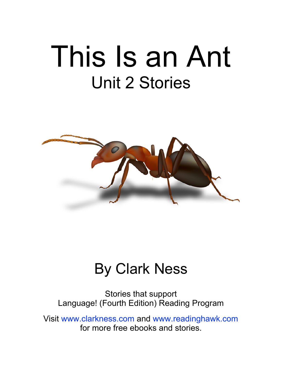# This Is an Ant Unit 2 Stories



#### By Clark Ness

Stories that support Language! (Fourth Edition) Reading Program

Visit [www.clarkness.com](http://www.clarkness.com) and [www.readinghawk.com](http://www.readinghawk.com) for more free ebooks and stories.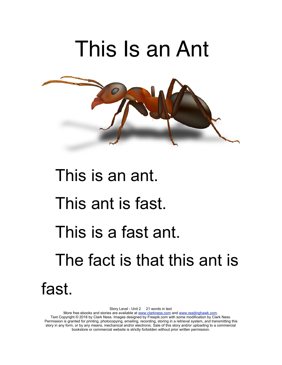

# This is an ant. This ant is fast. This is a fast ant. The fact is that this ant is fast.

Story Level - Unit 2 21 words in text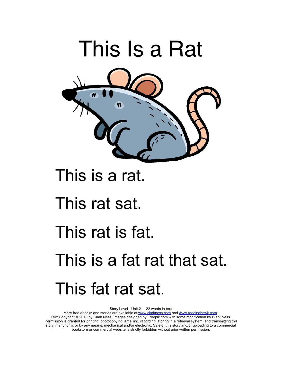

#### This is a rat.

#### This rat sat.

#### This rat is fat.

## This is a fat rat that sat. This fat rat sat.

Story Level - Unit 2 22 words in text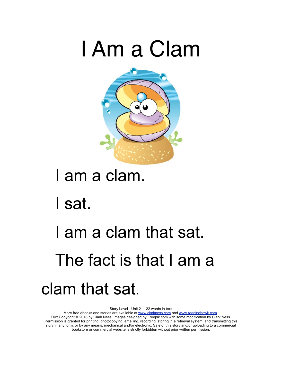## I Am a Clam



### I am a clam.

I sat.

## I am a clam that sat. The fact is that I am a clam that sat.

Story Level - Unit 2 22 words in text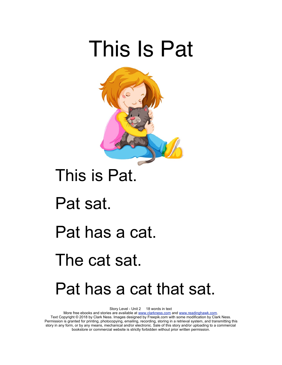## This Is Pat



### This is Pat.

Pat sat.

#### Pat has a cat.

### The cat sat.

### Pat has a cat that sat.

Story Level - Unit 2 18 words in text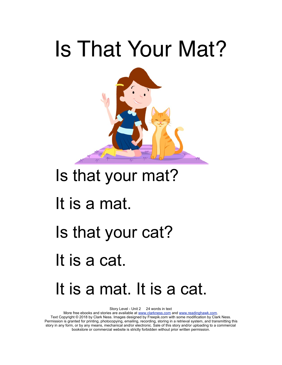# Is That Your Mat?



### Is that your mat?

### It is a mat.

### Is that your cat?

It is a cat.

### It is a mat. It is a cat.

Story Level - Unit 2 24 words in text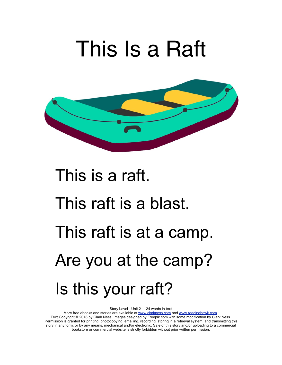## This Is a Raft



# This is a raft. This raft is a blast. This raft is at a camp. Are you at the camp? Is this your raft?

Story Level - Unit 2 24 words in text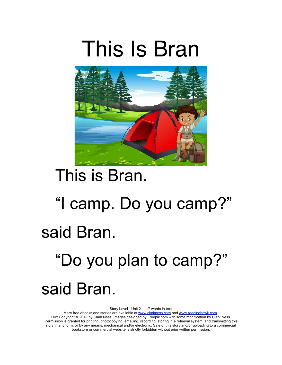



### This is Bran.

# "I camp. Do you camp?" said Bran.

## "Do you plan to camp?" said Bran.

Story Level - Unit 2 17 words in text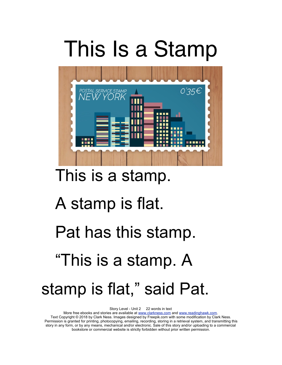## This Is a Stamp



### This is a stamp.

### A stamp is flat.

### Pat has this stamp.

### "This is a stamp. A

### stamp is flat," said Pat.

Story Level - Unit 2 22 words in text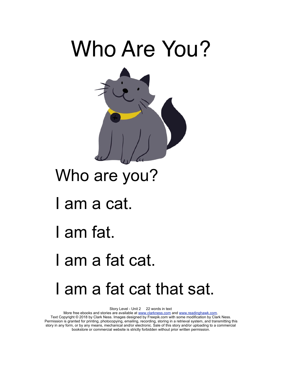

### Who are you?

- I am a cat.
- I am fat.
- I am a fat cat.

### I am a fat cat that sat.

Story Level - Unit 2 22 words in text